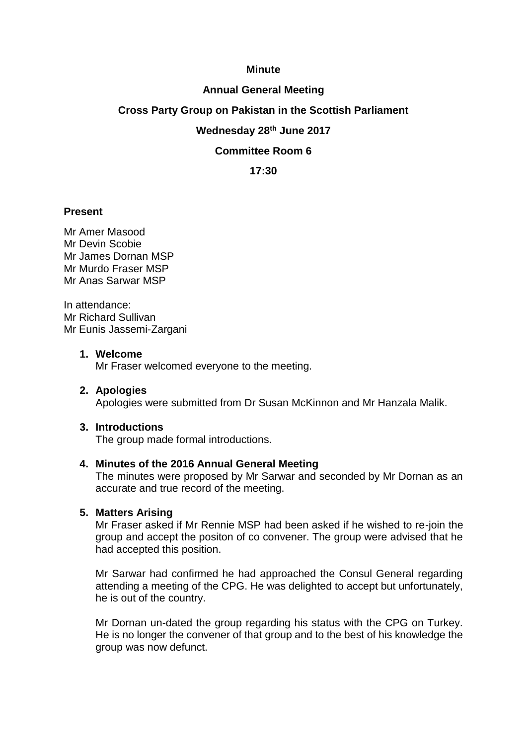### **Minute**

### **Annual General Meeting**

# **Cross Party Group on Pakistan in the Scottish Parliament**

# **Wednesday 28 th June 2017**

# **Committee Room 6**

# **17:30**

# **Present**

Mr Amer Masood Mr Devin Scobie Mr James Dornan MSP Mr Murdo Fraser MSP Mr Anas Sarwar MSP

In attendance: Mr Richard Sullivan Mr Eunis Jassemi-Zargani

#### **1. Welcome**

Mr Fraser welcomed everyone to the meeting.

#### **2. Apologies**

Apologies were submitted from Dr Susan McKinnon and Mr Hanzala Malik.

#### **3. Introductions**

The group made formal introductions.

#### **4. Minutes of the 2016 Annual General Meeting**

The minutes were proposed by Mr Sarwar and seconded by Mr Dornan as an accurate and true record of the meeting.

### **5. Matters Arising**

Mr Fraser asked if Mr Rennie MSP had been asked if he wished to re-join the group and accept the positon of co convener. The group were advised that he had accepted this position.

Mr Sarwar had confirmed he had approached the Consul General regarding attending a meeting of the CPG. He was delighted to accept but unfortunately, he is out of the country.

Mr Dornan un-dated the group regarding his status with the CPG on Turkey. He is no longer the convener of that group and to the best of his knowledge the group was now defunct.